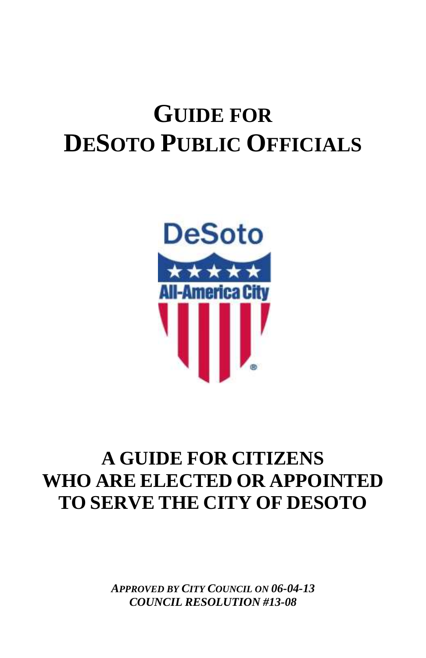# **GUIDE FOR DESOTO PUBLIC OFFICIALS**



## **A GUIDE FOR CITIZENS WHO ARE ELECTED OR APPOINTED TO SERVE THE CITY OF DESOTO**

*APPROVED BY CITY COUNCIL ON 06-04-13 COUNCIL RESOLUTION #13-08*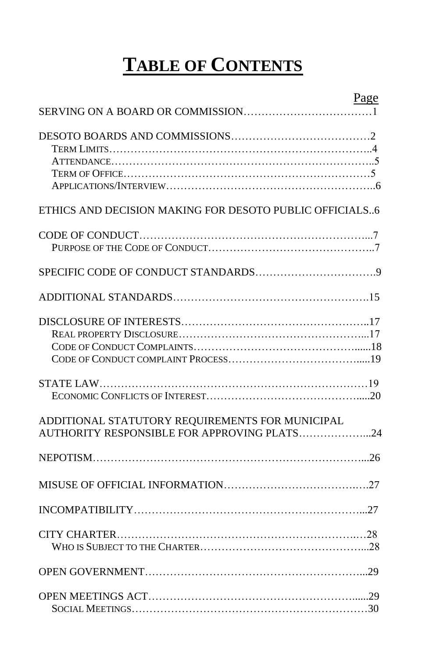# **TABLE OF CONTENTS**

|                                                         | Page |
|---------------------------------------------------------|------|
|                                                         |      |
|                                                         |      |
|                                                         |      |
|                                                         |      |
|                                                         |      |
| ETHICS AND DECISION MAKING FOR DESOTO PUBLIC OFFICIALS6 |      |
|                                                         |      |
|                                                         |      |
|                                                         |      |
|                                                         |      |
|                                                         |      |
|                                                         |      |
|                                                         |      |
|                                                         |      |
|                                                         |      |
| ADDITIONAL STATUTORY REQUIREMENTS FOR MUNICIPAL         |      |
| AUTHORITY RESPONSIBLE FOR APPROVING PLATS24             |      |
|                                                         |      |
|                                                         |      |
|                                                         |      |
|                                                         |      |
|                                                         |      |
|                                                         |      |
|                                                         |      |
|                                                         |      |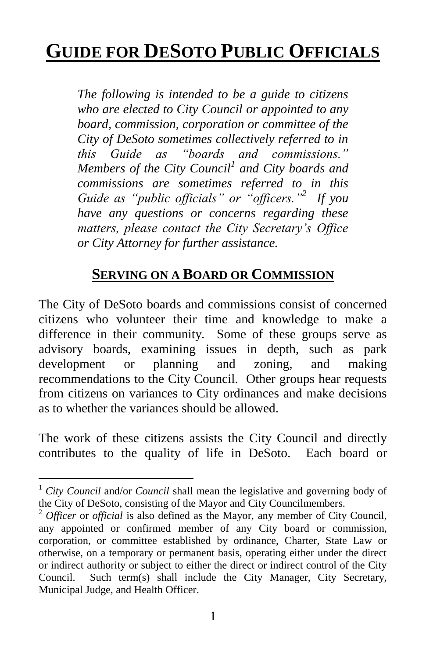## **GUIDE FOR DESOTO PUBLIC OFFICIALS**

*The following is intended to be a guide to citizens who are elected to City Council or appointed to any board, commission, corporation or committee of the City of DeSoto sometimes collectively referred to in this Guide as "boards and commissions." Members of the City Council<sup>1</sup> and City boards and commissions are sometimes referred to in this Guide as "public officials" or "officers."<sup>2</sup> If you have any questions or concerns regarding these matters, please contact the City Secretary's Office or City Attorney for further assistance.*

## **SERVING ON A BOARD OR COMMISSION**

The City of DeSoto boards and commissions consist of concerned citizens who volunteer their time and knowledge to make a difference in their community. Some of these groups serve as advisory boards, examining issues in depth, such as park development or planning and zoning, and making recommendations to the City Council. Other groups hear requests from citizens on variances to City ordinances and make decisions as to whether the variances should be allowed.

The work of these citizens assists the City Council and directly contributes to the quality of life in DeSoto. Each board or

<sup>1</sup> *City Council* and/or *Council* shall mean the legislative and governing body of the City of DeSoto, consisting of the Mayor and City Councilmembers.

<sup>2</sup> *Officer* or *official* is also defined as the Mayor, any member of City Council, any appointed or confirmed member of any City board or commission, corporation, or committee established by ordinance, Charter, State Law or otherwise, on a temporary or permanent basis, operating either under the direct or indirect authority or subject to either the direct or indirect control of the City Council. Such term(s) shall include the City Manager, City Secretary, Municipal Judge, and Health Officer.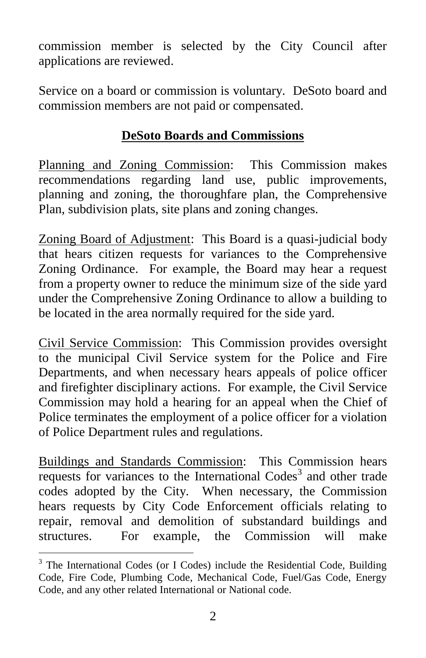commission member is selected by the City Council after applications are reviewed.

Service on a board or commission is voluntary. DeSoto board and commission members are not paid or compensated.

## **DeSoto Boards and Commissions**

Planning and Zoning Commission: This Commission makes recommendations regarding land use, public improvements, planning and zoning, the thoroughfare plan, the Comprehensive Plan, subdivision plats, site plans and zoning changes.

Zoning Board of Adjustment: This Board is a quasi-judicial body that hears citizen requests for variances to the Comprehensive Zoning Ordinance. For example, the Board may hear a request from a property owner to reduce the minimum size of the side yard under the Comprehensive Zoning Ordinance to allow a building to be located in the area normally required for the side yard.

Civil Service Commission: This Commission provides oversight to the municipal Civil Service system for the Police and Fire Departments, and when necessary hears appeals of police officer and firefighter disciplinary actions. For example, the Civil Service Commission may hold a hearing for an appeal when the Chief of Police terminates the employment of a police officer for a violation of Police Department rules and regulations.

Buildings and Standards Commission: This Commission hears requests for variances to the International Codes<sup>3</sup> and other trade codes adopted by the City. When necessary, the Commission hears requests by City Code Enforcement officials relating to repair, removal and demolition of substandard buildings and structures. For example, the Commission will make

<sup>&</sup>lt;sup>3</sup> The International Codes (or I Codes) include the Residential Code, Building Code, Fire Code, Plumbing Code, Mechanical Code, Fuel/Gas Code, Energy Code, and any other related International or National code.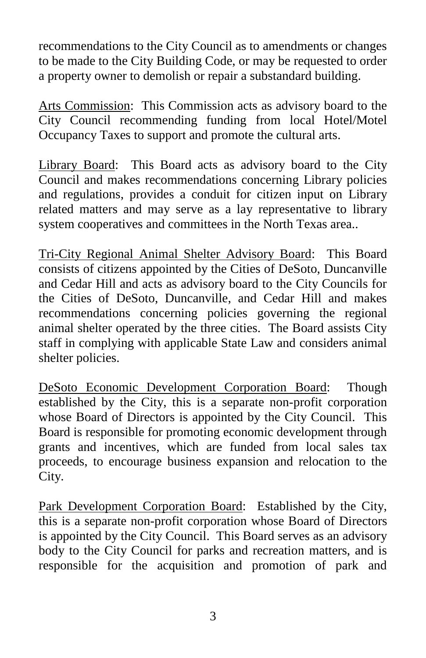recommendations to the City Council as to amendments or changes to be made to the City Building Code, or may be requested to order a property owner to demolish or repair a substandard building.

Arts Commission: This Commission acts as advisory board to the City Council recommending funding from local Hotel/Motel Occupancy Taxes to support and promote the cultural arts.

Library Board: This Board acts as advisory board to the City Council and makes recommendations concerning Library policies and regulations, provides a conduit for citizen input on Library related matters and may serve as a lay representative to library system cooperatives and committees in the North Texas area..

Tri-City Regional Animal Shelter Advisory Board: This Board consists of citizens appointed by the Cities of DeSoto, Duncanville and Cedar Hill and acts as advisory board to the City Councils for the Cities of DeSoto, Duncanville, and Cedar Hill and makes recommendations concerning policies governing the regional animal shelter operated by the three cities. The Board assists City staff in complying with applicable State Law and considers animal shelter policies.

DeSoto Economic Development Corporation Board: Though established by the City, this is a separate non-profit corporation whose Board of Directors is appointed by the City Council. This Board is responsible for promoting economic development through grants and incentives, which are funded from local sales tax proceeds, to encourage business expansion and relocation to the City.

Park Development Corporation Board: Established by the City, this is a separate non-profit corporation whose Board of Directors is appointed by the City Council. This Board serves as an advisory body to the City Council for parks and recreation matters, and is responsible for the acquisition and promotion of park and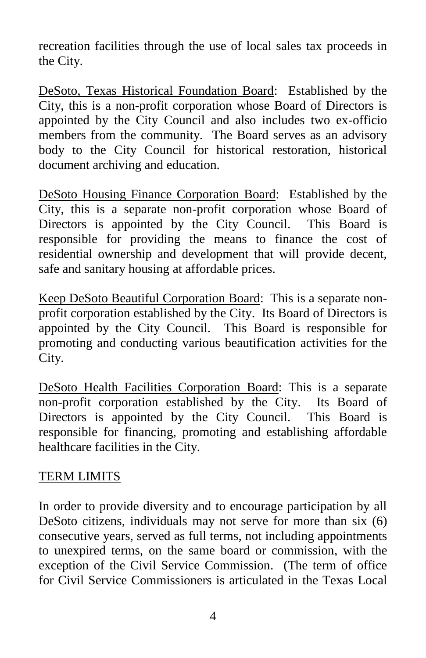recreation facilities through the use of local sales tax proceeds in the City.

DeSoto, Texas Historical Foundation Board: Established by the City, this is a non-profit corporation whose Board of Directors is appointed by the City Council and also includes two ex-officio members from the community. The Board serves as an advisory body to the City Council for historical restoration, historical document archiving and education.

DeSoto Housing Finance Corporation Board: Established by the City, this is a separate non-profit corporation whose Board of Directors is appointed by the City Council. This Board is responsible for providing the means to finance the cost of residential ownership and development that will provide decent, safe and sanitary housing at affordable prices.

Keep DeSoto Beautiful Corporation Board: This is a separate nonprofit corporation established by the City. Its Board of Directors is appointed by the City Council. This Board is responsible for promoting and conducting various beautification activities for the City.

DeSoto Health Facilities Corporation Board: This is a separate non-profit corporation established by the City. Its Board of Directors is appointed by the City Council. This Board is responsible for financing, promoting and establishing affordable healthcare facilities in the City.

#### TERM LIMITS

In order to provide diversity and to encourage participation by all DeSoto citizens, individuals may not serve for more than six (6) consecutive years, served as full terms, not including appointments to unexpired terms, on the same board or commission, with the exception of the Civil Service Commission. (The term of office for Civil Service Commissioners is articulated in the Texas Local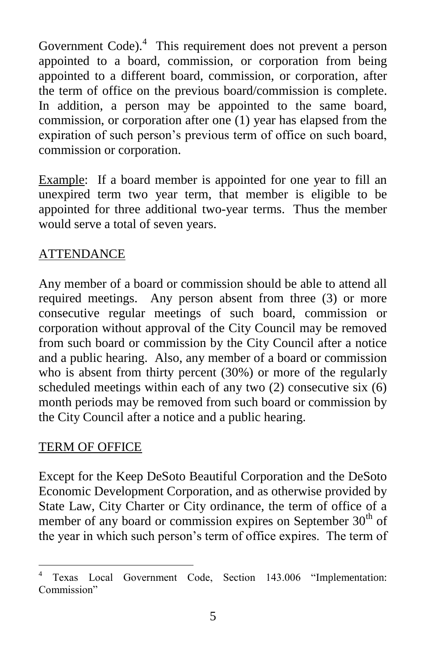Government Code).<sup>4</sup> This requirement does not prevent a person appointed to a board, commission, or corporation from being appointed to a different board, commission, or corporation, after the term of office on the previous board/commission is complete. In addition, a person may be appointed to the same board, commission, or corporation after one (1) year has elapsed from the expiration of such person's previous term of office on such board, commission or corporation.

Example: If a board member is appointed for one year to fill an unexpired term two year term, that member is eligible to be appointed for three additional two-year terms. Thus the member would serve a total of seven years.

### ATTENDANCE

Any member of a board or commission should be able to attend all required meetings. Any person absent from three (3) or more consecutive regular meetings of such board, commission or corporation without approval of the City Council may be removed from such board or commission by the City Council after a notice and a public hearing. Also, any member of a board or commission who is absent from thirty percent (30%) or more of the regularly scheduled meetings within each of any two (2) consecutive six (6) month periods may be removed from such board or commission by the City Council after a notice and a public hearing.

#### TERM OF OFFICE

Except for the Keep DeSoto Beautiful Corporation and the DeSoto Economic Development Corporation, and as otherwise provided by State Law, City Charter or City ordinance, the term of office of a member of any board or commission expires on September  $30<sup>th</sup>$  of the year in which such person's term of office expires. The term of

 $\overline{a}$ <sup>4</sup> Texas Local Government Code, Section 143.006 "Implementation: Commission"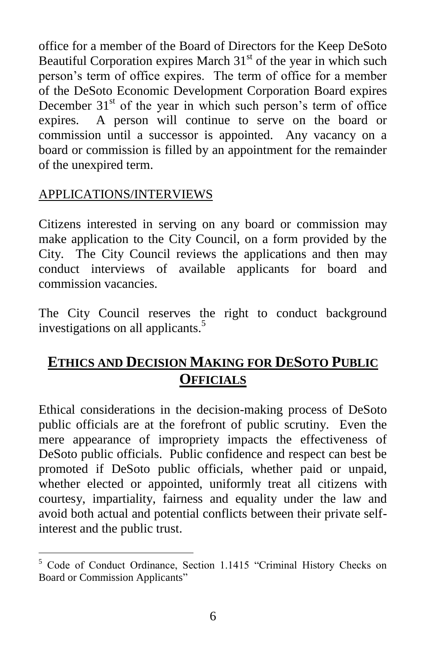office for a member of the Board of Directors for the Keep DeSoto Beautiful Corporation expires March  $31<sup>st</sup>$  of the year in which such person's term of office expires. The term of office for a member of the DeSoto Economic Development Corporation Board expires December  $31<sup>st</sup>$  of the year in which such person's term of office expires. A person will continue to serve on the board or commission until a successor is appointed. Any vacancy on a board or commission is filled by an appointment for the remainder of the unexpired term.

### APPLICATIONS/INTERVIEWS

Citizens interested in serving on any board or commission may make application to the City Council, on a form provided by the City. The City Council reviews the applications and then may conduct interviews of available applicants for board and commission vacancies.

The City Council reserves the right to conduct background investigations on all applicants.<sup>5</sup>

## **ETHICS AND DECISION MAKING FOR DESOTO PUBLIC OFFICIALS**

Ethical considerations in the decision-making process of DeSoto public officials are at the forefront of public scrutiny. Even the mere appearance of impropriety impacts the effectiveness of DeSoto public officials. Public confidence and respect can best be promoted if DeSoto public officials, whether paid or unpaid, whether elected or appointed, uniformly treat all citizens with courtesy, impartiality, fairness and equality under the law and avoid both actual and potential conflicts between their private selfinterest and the public trust.

 $\overline{a}$ <sup>5</sup> Code of Conduct Ordinance, Section 1.1415 "Criminal History Checks on Board or Commission Applicants"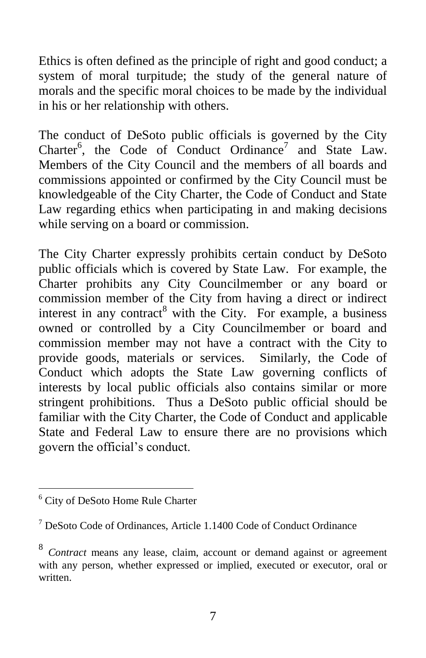Ethics is often defined as the principle of right and good conduct; a system of moral turpitude; the study of the general nature of morals and the specific moral choices to be made by the individual in his or her relationship with others.

The conduct of DeSoto public officials is governed by the City Charter<sup>6</sup>, the Code of Conduct Ordinance<sup>7</sup> and State Law. Members of the City Council and the members of all boards and commissions appointed or confirmed by the City Council must be knowledgeable of the City Charter, the Code of Conduct and State Law regarding ethics when participating in and making decisions while serving on a board or commission.

The City Charter expressly prohibits certain conduct by DeSoto public officials which is covered by State Law. For example, the Charter prohibits any City Councilmember or any board or commission member of the City from having a direct or indirect interest in any contract<sup>8</sup> with the City. For example, a business owned or controlled by a City Councilmember or board and commission member may not have a contract with the City to provide goods, materials or services. Similarly, the Code of Conduct which adopts the State Law governing conflicts of interests by local public officials also contains similar or more stringent prohibitions. Thus a DeSoto public official should be familiar with the City Charter, the Code of Conduct and applicable State and Federal Law to ensure there are no provisions which govern the official's conduct.

<sup>&</sup>lt;sup>6</sup> City of DeSoto Home Rule Charter

 $<sup>7</sup>$  DeSoto Code of Ordinances, Article 1.1400 Code of Conduct Ordinance</sup>

<sup>8</sup> *Contract* means any lease, claim, account or demand against or agreement with any person, whether expressed or implied, executed or executor, oral or written.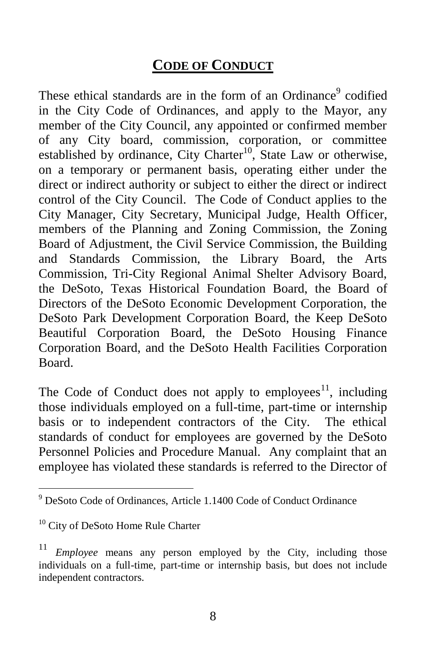## **CODE OF CONDUCT**

These ethical standards are in the form of an Ordinance<sup>9</sup> codified in the City Code of Ordinances, and apply to the Mayor, any member of the City Council, any appointed or confirmed member of any City board, commission, corporation, or committee established by ordinance, City Charter<sup>10</sup>, State Law or otherwise, on a temporary or permanent basis, operating either under the direct or indirect authority or subject to either the direct or indirect control of the City Council. The Code of Conduct applies to the City Manager, City Secretary, Municipal Judge, Health Officer, members of the Planning and Zoning Commission, the Zoning Board of Adjustment, the Civil Service Commission, the Building and Standards Commission, the Library Board, the Arts Commission, Tri-City Regional Animal Shelter Advisory Board, the DeSoto, Texas Historical Foundation Board, the Board of Directors of the DeSoto Economic Development Corporation, the DeSoto Park Development Corporation Board, the Keep DeSoto Beautiful Corporation Board, the DeSoto Housing Finance Corporation Board, and the DeSoto Health Facilities Corporation Board.

The Code of Conduct does not apply to employees<sup>11</sup>, including those individuals employed on a full-time, part-time or internship basis or to independent contractors of the City. The ethical standards of conduct for employees are governed by the DeSoto Personnel Policies and Procedure Manual. Any complaint that an employee has violated these standards is referred to the Director of

 $9$  DeSoto Code of Ordinances, Article 1.1400 Code of Conduct Ordinance

<sup>&</sup>lt;sup>10</sup> City of DeSoto Home Rule Charter

*Employee* means any person employed by the City, including those individuals on a full-time, part-time or internship basis, but does not include independent contractors.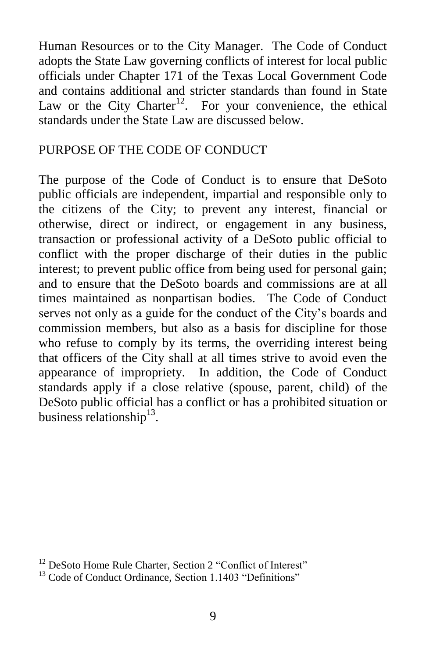Human Resources or to the City Manager. The Code of Conduct adopts the State Law governing conflicts of interest for local public officials under Chapter 171 of the Texas Local Government Code and contains additional and stricter standards than found in State Law or the City Charter<sup>12</sup>. For your convenience, the ethical standards under the State Law are discussed below.

#### PURPOSE OF THE CODE OF CONDUCT

The purpose of the Code of Conduct is to ensure that DeSoto public officials are independent, impartial and responsible only to the citizens of the City; to prevent any interest, financial or otherwise, direct or indirect, or engagement in any business, transaction or professional activity of a DeSoto public official to conflict with the proper discharge of their duties in the public interest; to prevent public office from being used for personal gain; and to ensure that the DeSoto boards and commissions are at all times maintained as nonpartisan bodies. The Code of Conduct serves not only as a guide for the conduct of the City's boards and commission members, but also as a basis for discipline for those who refuse to comply by its terms, the overriding interest being that officers of the City shall at all times strive to avoid even the appearance of impropriety. In addition, the Code of Conduct standards apply if a close relative (spouse, parent, child) of the DeSoto public official has a conflict or has a prohibited situation or business relationship<sup>13</sup>.

<sup>&</sup>lt;sup>12</sup> DeSoto Home Rule Charter, Section 2 "Conflict of Interest"

<sup>&</sup>lt;sup>13</sup> Code of Conduct Ordinance, Section 1.1403 "Definitions"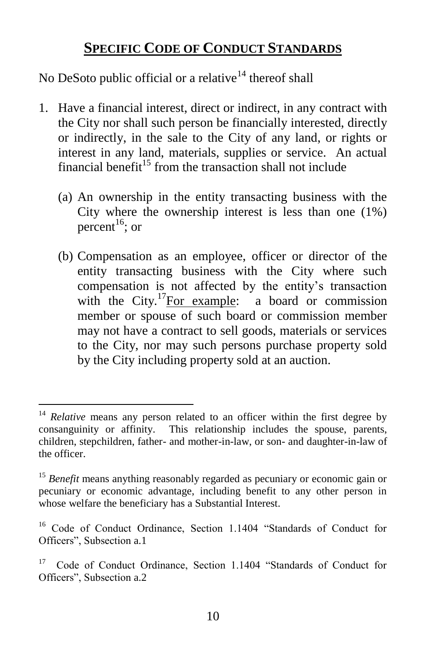## **SPECIFIC CODE OF CONDUCT STANDARDS**

No DeSoto public official or a relative<sup>14</sup> thereof shall

- 1. Have a financial interest, direct or indirect, in any contract with the City nor shall such person be financially interested, directly or indirectly, in the sale to the City of any land, or rights or interest in any land, materials, supplies or service. An actual financial benefit<sup>15</sup> from the transaction shall not include
	- (a) An ownership in the entity transacting business with the City where the ownership interest is less than one (1%) percent<sup>16</sup>; or
	- (b) Compensation as an employee, officer or director of the entity transacting business with the City where such compensation is not affected by the entity's transaction with the City.<sup>17</sup>For example: a board or commission member or spouse of such board or commission member may not have a contract to sell goods, materials or services to the City, nor may such persons purchase property sold by the City including property sold at an auction.

<sup>&</sup>lt;sup>14</sup> *Relative* means any person related to an officer within the first degree by consanguinity or affinity. This relationship includes the spouse, parents, children, stepchildren, father- and mother-in-law, or son- and daughter-in-law of the officer.

<sup>&</sup>lt;sup>15</sup> Benefit means anything reasonably regarded as pecuniary or economic gain or pecuniary or economic advantage, including benefit to any other person in whose welfare the beneficiary has a Substantial Interest.

<sup>&</sup>lt;sup>16</sup> Code of Conduct Ordinance, Section 1.1404 "Standards of Conduct for Officers", Subsection a.1

<sup>17</sup> Code of Conduct Ordinance, Section 1.1404 "Standards of Conduct for Officers", Subsection a.2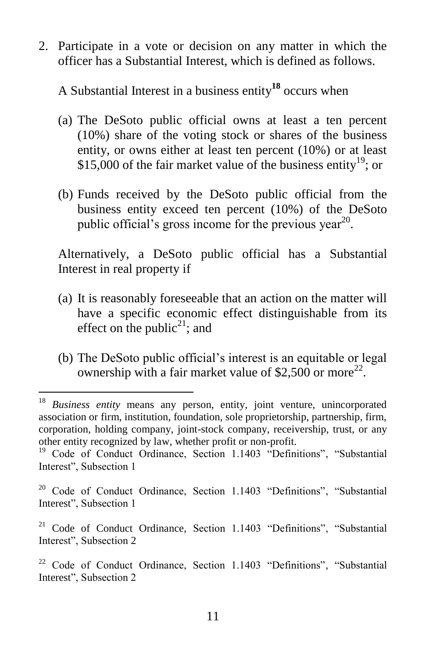2. Participate in a vote or decision on any matter in which the officer has a Substantial Interest, which is defined as follows.

A Substantial Interest in a business entity**<sup>18</sup>** occurs when

- (a) The DeSoto public official owns at least a ten percent (10%) share of the voting stock or shares of the business entity, or owns either at least ten percent (10%) or at least \$15,000 of the fair market value of the business entity<sup>19</sup>; or
- (b) Funds received by the DeSoto public official from the business entity exceed ten percent (10%) of the DeSoto public official's gross income for the previous year<sup>20</sup>.

Alternatively, a DeSoto public official has a Substantial Interest in real property if

- (a) It is reasonably foreseeable that an action on the matter will have a specific economic effect distinguishable from its effect on the public<sup>21</sup>; and
- (b) The DeSoto public official's interest is an equitable or legal ownership with a fair market value of \$2,500 or more<sup>22</sup>.

<sup>18</sup> *Business entity* means any person, entity, joint venture, unincorporated association or firm, institution, foundation, sole proprietorship, partnership, firm, corporation, holding company, joint-stock company, receivership, trust, or any other entity recognized by law, whether profit or non-profit.

<sup>&</sup>lt;sup>19</sup> Code of Conduct Ordinance, Section 1.1403 "Definitions", "Substantial Interest", Subsection 1

 $20$  Code of Conduct Ordinance, Section 1.1403 "Definitions", "Substantial Interest", Subsection 1

<sup>&</sup>lt;sup>21</sup> Code of Conduct Ordinance, Section 1.1403 "Definitions", "Substantial Interest", Subsection 2

<sup>&</sup>lt;sup>22</sup> Code of Conduct Ordinance, Section 1.1403 "Definitions", "Substantial Interest", Subsection 2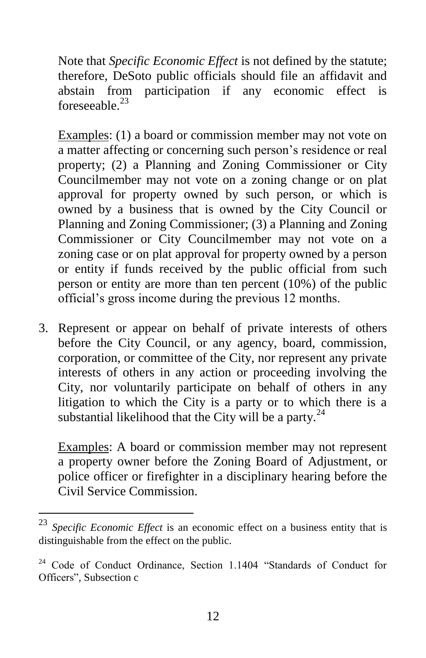Note that *Specific Economic Effect* is not defined by the statute; therefore, DeSoto public officials should file an affidavit and abstain from participation if any economic effect is foreseeable $^{23}$ 

Examples: (1) a board or commission member may not vote on a matter affecting or concerning such person's residence or real property; (2) a Planning and Zoning Commissioner or City Councilmember may not vote on a zoning change or on plat approval for property owned by such person, or which is owned by a business that is owned by the City Council or Planning and Zoning Commissioner; (3) a Planning and Zoning Commissioner or City Councilmember may not vote on a zoning case or on plat approval for property owned by a person or entity if funds received by the public official from such person or entity are more than ten percent (10%) of the public official's gross income during the previous 12 months.

3. Represent or appear on behalf of private interests of others before the City Council, or any agency, board, commission, corporation, or committee of the City, nor represent any private interests of others in any action or proceeding involving the City, nor voluntarily participate on behalf of others in any litigation to which the City is a party or to which there is a substantial likelihood that the City will be a party. $24$ 

Examples: A board or commission member may not represent a property owner before the Zoning Board of Adjustment, or police officer or firefighter in a disciplinary hearing before the Civil Service Commission.

<sup>23</sup> *Specific Economic Effect* is an economic effect on a business entity that is distinguishable from the effect on the public.

<sup>&</sup>lt;sup>24</sup> Code of Conduct Ordinance, Section 1.1404 "Standards of Conduct for Officers", Subsection c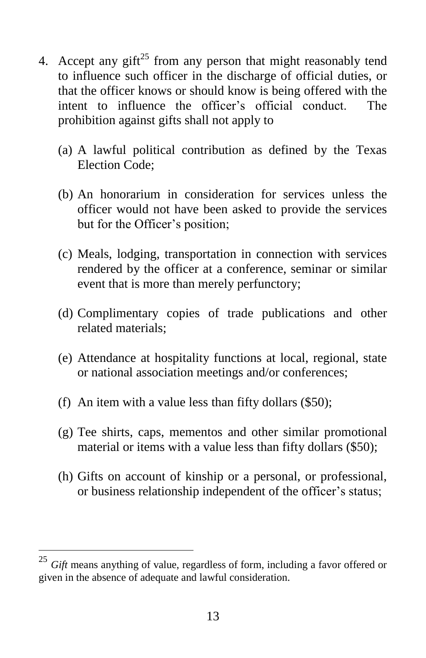- 4. Accept any gift<sup>25</sup> from any person that might reasonably tend to influence such officer in the discharge of official duties, or that the officer knows or should know is being offered with the intent to influence the officer's official conduct. The prohibition against gifts shall not apply to
	- (a) A lawful political contribution as defined by the Texas Election Code;
	- (b) An honorarium in consideration for services unless the officer would not have been asked to provide the services but for the Officer's position;
	- (c) Meals, lodging, transportation in connection with services rendered by the officer at a conference, seminar or similar event that is more than merely perfunctory;
	- (d) Complimentary copies of trade publications and other related materials;
	- (e) Attendance at hospitality functions at local, regional, state or national association meetings and/or conferences;
	- (f) An item with a value less than fifty dollars (\$50);
	- (g) Tee shirts, caps, mementos and other similar promotional material or items with a value less than fifty dollars (\$50);
	- (h) Gifts on account of kinship or a personal, or professional, or business relationship independent of the officer's status;

<sup>25</sup> *Gift* means anything of value, regardless of form, including a favor offered or given in the absence of adequate and lawful consideration.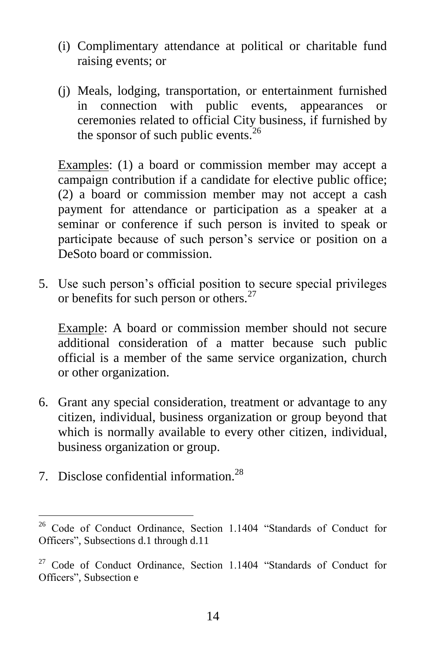- (i) Complimentary attendance at political or charitable fund raising events; or
- (j) Meals, lodging, transportation, or entertainment furnished in connection with public events, appearances or ceremonies related to official City business, if furnished by the sponsor of such public events. $^{26}$

Examples: (1) a board or commission member may accept a campaign contribution if a candidate for elective public office; (2) a board or commission member may not accept a cash payment for attendance or participation as a speaker at a seminar or conference if such person is invited to speak or participate because of such person's service or position on a DeSoto board or commission.

5. Use such person's official position to secure special privileges or benefits for such person or others.<sup>27</sup>

Example: A board or commission member should not secure additional consideration of a matter because such public official is a member of the same service organization, church or other organization.

- 6. Grant any special consideration, treatment or advantage to any citizen, individual, business organization or group beyond that which is normally available to every other citizen, individual, business organization or group.
- 7. Disclose confidential information.<sup>28</sup>

<sup>&</sup>lt;sup>26</sup> Code of Conduct Ordinance, Section 1.1404 "Standards of Conduct for Officers", Subsections d.1 through d.11

<sup>&</sup>lt;sup>27</sup> Code of Conduct Ordinance, Section 1.1404 "Standards of Conduct for Officers", Subsection e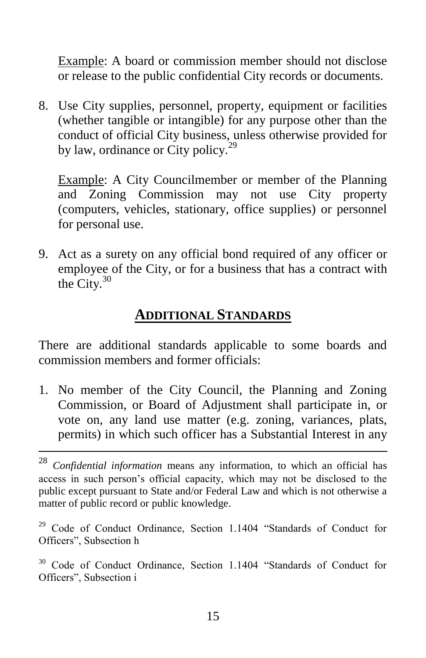Example: A board or commission member should not disclose or release to the public confidential City records or documents.

8. Use City supplies, personnel, property, equipment or facilities (whether tangible or intangible) for any purpose other than the conduct of official City business, unless otherwise provided for by law, ordinance or City policy. $^{29}$ 

Example: A City Councilmember or member of the Planning and Zoning Commission may not use City property (computers, vehicles, stationary, office supplies) or personnel for personal use.

9. Act as a surety on any official bond required of any officer or employee of the City, or for a business that has a contract with the City. $30$ 

### **ADDITIONAL STANDARDS**

There are additional standards applicable to some boards and commission members and former officials:

1. No member of the City Council, the Planning and Zoning Commission, or Board of Adjustment shall participate in, or vote on, any land use matter (e.g. zoning, variances, plats, permits) in which such officer has a Substantial Interest in any

<sup>28</sup> *Confidential information* means any information, to which an official has access in such person's official capacity, which may not be disclosed to the public except pursuant to State and/or Federal Law and which is not otherwise a matter of public record or public knowledge.

<sup>&</sup>lt;sup>29</sup> Code of Conduct Ordinance, Section 1.1404 "Standards of Conduct for Officers", Subsection h

<sup>&</sup>lt;sup>30</sup> Code of Conduct Ordinance, Section 1.1404 "Standards of Conduct for Officers", Subsection i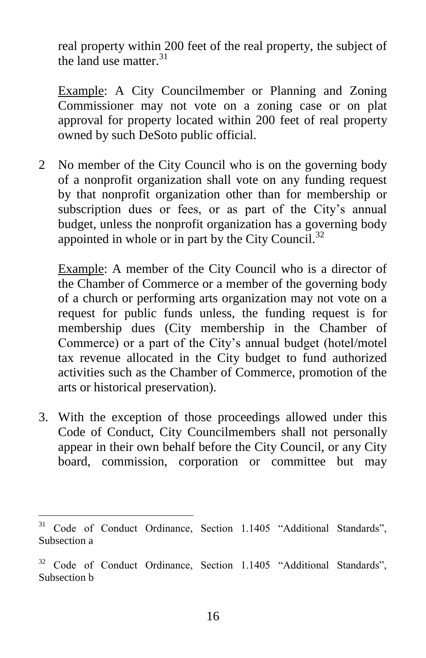real property within 200 feet of the real property, the subject of the land use matter.<sup>31</sup>

Example: A City Councilmember or Planning and Zoning Commissioner may not vote on a zoning case or on plat approval for property located within 200 feet of real property owned by such DeSoto public official.

2 No member of the City Council who is on the governing body of a nonprofit organization shall vote on any funding request by that nonprofit organization other than for membership or subscription dues or fees, or as part of the City's annual budget, unless the nonprofit organization has a governing body appointed in whole or in part by the City Council.<sup>32</sup>

Example: A member of the City Council who is a director of the Chamber of Commerce or a member of the governing body of a church or performing arts organization may not vote on a request for public funds unless, the funding request is for membership dues (City membership in the Chamber of Commerce) or a part of the City's annual budget (hotel/motel tax revenue allocated in the City budget to fund authorized activities such as the Chamber of Commerce, promotion of the arts or historical preservation).

3. With the exception of those proceedings allowed under this Code of Conduct, City Councilmembers shall not personally appear in their own behalf before the City Council, or any City board, commission, corporation or committee but may

 $31$ <sup>31</sup> Code of Conduct Ordinance, Section 1.1405 "Additional Standards", Subsection a

<sup>&</sup>lt;sup>32</sup> Code of Conduct Ordinance, Section 1.1405 "Additional Standards", Subsection b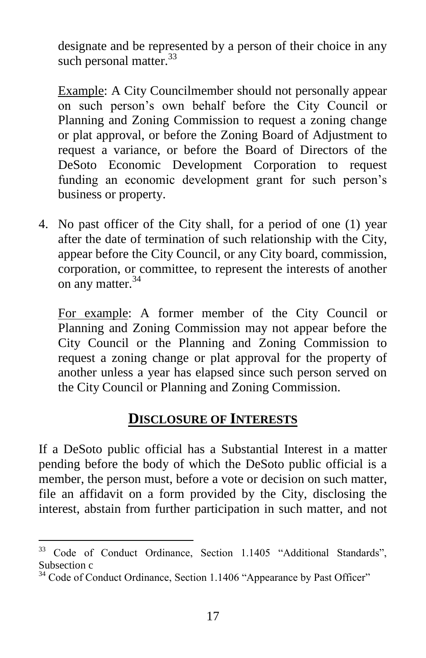designate and be represented by a person of their choice in any such personal matter.<sup>33</sup>

Example: A City Councilmember should not personally appear on such person's own behalf before the City Council or Planning and Zoning Commission to request a zoning change or plat approval, or before the Zoning Board of Adjustment to request a variance, or before the Board of Directors of the DeSoto Economic Development Corporation to request funding an economic development grant for such person's business or property.

4. No past officer of the City shall, for a period of one (1) year after the date of termination of such relationship with the City, appear before the City Council, or any City board, commission, corporation, or committee, to represent the interests of another on any matter.<sup>34</sup>

For example: A former member of the City Council or Planning and Zoning Commission may not appear before the City Council or the Planning and Zoning Commission to request a zoning change or plat approval for the property of another unless a year has elapsed since such person served on the City Council or Planning and Zoning Commission.

## **DISCLOSURE OF INTERESTS**

If a DeSoto public official has a Substantial Interest in a matter pending before the body of which the DeSoto public official is a member, the person must, before a vote or decision on such matter, file an affidavit on a form provided by the City, disclosing the interest, abstain from further participation in such matter, and not

<sup>&</sup>lt;sup>33</sup> Code of Conduct Ordinance, Section 1.1405 "Additional Standards", Subsection c

<sup>&</sup>lt;sup>34</sup> Code of Conduct Ordinance, Section 1.1406 "Appearance by Past Officer"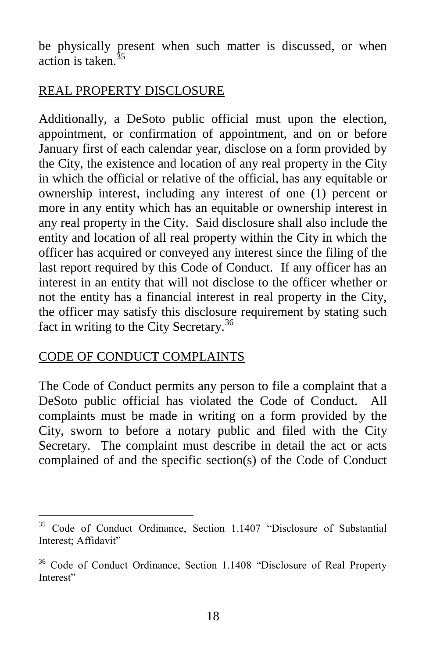be physically present when such matter is discussed, or when action is taken. $35$ 

#### REAL PROPERTY DISCLOSURE

Additionally, a DeSoto public official must upon the election, appointment, or confirmation of appointment, and on or before January first of each calendar year, disclose on a form provided by the City, the existence and location of any real property in the City in which the official or relative of the official, has any equitable or ownership interest, including any interest of one (1) percent or more in any entity which has an equitable or ownership interest in any real property in the City. Said disclosure shall also include the entity and location of all real property within the City in which the officer has acquired or conveyed any interest since the filing of the last report required by this Code of Conduct. If any officer has an interest in an entity that will not disclose to the officer whether or not the entity has a financial interest in real property in the City, the officer may satisfy this disclosure requirement by stating such fact in writing to the City Secretary.<sup>36</sup>

#### CODE OF CONDUCT COMPLAINTS

 $\overline{a}$ 

The Code of Conduct permits any person to file a complaint that a DeSoto public official has violated the Code of Conduct. All complaints must be made in writing on a form provided by the City, sworn to before a notary public and filed with the City Secretary. The complaint must describe in detail the act or acts complained of and the specific section(s) of the Code of Conduct

<sup>&</sup>lt;sup>35</sup> Code of Conduct Ordinance, Section 1.1407 "Disclosure of Substantial Interest; Affidavit"

<sup>&</sup>lt;sup>36</sup> Code of Conduct Ordinance, Section 1.1408 "Disclosure of Real Property Interest"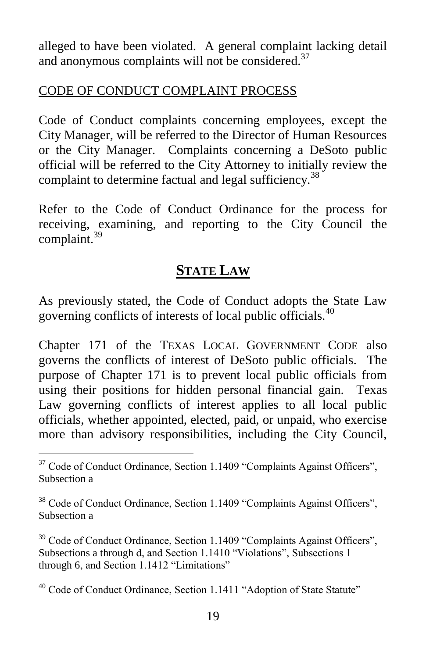alleged to have been violated. A general complaint lacking detail and anonymous complaints will not be considered.<sup>37</sup>

#### CODE OF CONDUCT COMPLAINT PROCESS

Code of Conduct complaints concerning employees, except the City Manager, will be referred to the Director of Human Resources or the City Manager. Complaints concerning a DeSoto public official will be referred to the City Attorney to initially review the complaint to determine factual and legal sufficiency.<sup>38</sup>

Refer to the Code of Conduct Ordinance for the process for receiving, examining, and reporting to the City Council the complaint.<sup>39</sup>

## **STATE LAW**

As previously stated, the Code of Conduct adopts the State Law governing conflicts of interests of local public officials.<sup>40</sup>

Chapter 171 of the TEXAS LOCAL GOVERNMENT CODE also governs the conflicts of interest of DeSoto public officials. The purpose of Chapter 171 is to prevent local public officials from using their positions for hidden personal financial gain. Texas Law governing conflicts of interest applies to all local public officials, whether appointed, elected, paid, or unpaid, who exercise more than advisory responsibilities, including the City Council,

<sup>&</sup>lt;sup>37</sup> Code of Conduct Ordinance, Section 1.1409 "Complaints Against Officers", Subsection a

<sup>&</sup>lt;sup>38</sup> Code of Conduct Ordinance, Section 1.1409 "Complaints Against Officers", Subsection a

<sup>&</sup>lt;sup>39</sup> Code of Conduct Ordinance, Section 1.1409 "Complaints Against Officers", Subsections a through d, and Section 1.1410 "Violations", Subsections 1 through 6, and Section 1.1412 "Limitations"

<sup>&</sup>lt;sup>40</sup> Code of Conduct Ordinance, Section 1.1411 "Adoption of State Statute"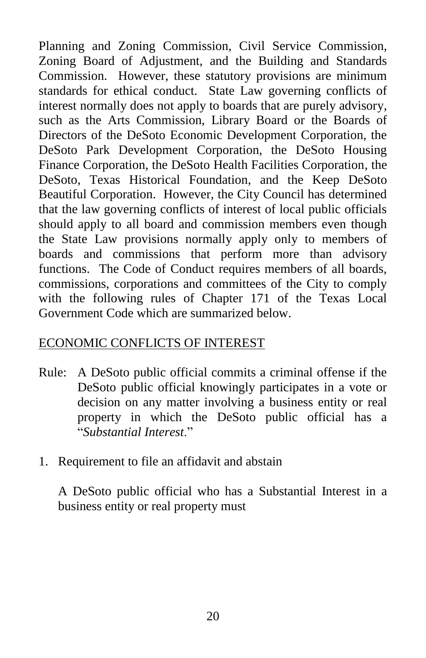Planning and Zoning Commission, Civil Service Commission, Zoning Board of Adjustment, and the Building and Standards Commission. However, these statutory provisions are minimum standards for ethical conduct. State Law governing conflicts of interest normally does not apply to boards that are purely advisory, such as the Arts Commission, Library Board or the Boards of Directors of the DeSoto Economic Development Corporation, the DeSoto Park Development Corporation, the DeSoto Housing Finance Corporation, the DeSoto Health Facilities Corporation, the DeSoto, Texas Historical Foundation, and the Keep DeSoto Beautiful Corporation. However, the City Council has determined that the law governing conflicts of interest of local public officials should apply to all board and commission members even though the State Law provisions normally apply only to members of boards and commissions that perform more than advisory functions. The Code of Conduct requires members of all boards, commissions, corporations and committees of the City to comply with the following rules of Chapter 171 of the Texas Local Government Code which are summarized below.

#### ECONOMIC CONFLICTS OF INTEREST

- Rule: A DeSoto public official commits a criminal offense if the DeSoto public official knowingly participates in a vote or decision on any matter involving a business entity or real property in which the DeSoto public official has a "*Substantial Interest*."
- 1. Requirement to file an affidavit and abstain

A DeSoto public official who has a Substantial Interest in a business entity or real property must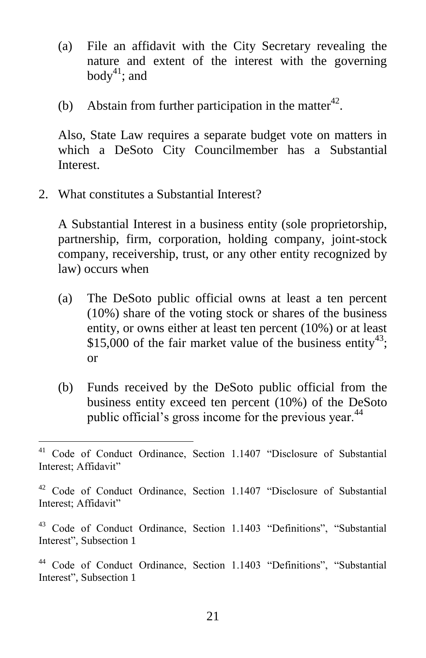- (a) File an affidavit with the City Secretary revealing the nature and extent of the interest with the governing body<sup>41</sup>; and
- (b) Abstain from further participation in the matter<sup>42</sup>.

Also, State Law requires a separate budget vote on matters in which a DeSoto City Councilmember has a Substantial Interest.

2. What constitutes a Substantial Interest?

 $\overline{a}$ 

A Substantial Interest in a business entity (sole proprietorship, partnership, firm, corporation, holding company, joint-stock company, receivership, trust, or any other entity recognized by law) occurs when

- (a) The DeSoto public official owns at least a ten percent (10%) share of the voting stock or shares of the business entity, or owns either at least ten percent (10%) or at least \$15,000 of the fair market value of the business entity<sup>43</sup>; or
- (b) Funds received by the DeSoto public official from the business entity exceed ten percent (10%) of the DeSoto public official's gross income for the previous year.<sup>44</sup>

<sup>41</sup> Code of Conduct Ordinance, Section 1.1407 "Disclosure of Substantial Interest; Affidavit"

<sup>42</sup> Code of Conduct Ordinance, Section 1.1407 "Disclosure of Substantial Interest; Affidavit"

<sup>43</sup> Code of Conduct Ordinance, Section 1.1403 "Definitions", "Substantial Interest", Subsection 1

<sup>44</sup> Code of Conduct Ordinance, Section 1.1403 "Definitions", "Substantial Interest", Subsection 1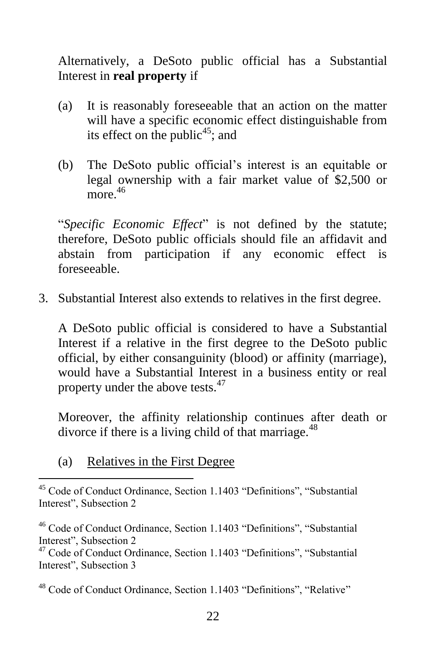Alternatively, a DeSoto public official has a Substantial Interest in **real property** if

- (a) It is reasonably foreseeable that an action on the matter will have a specific economic effect distinguishable from its effect on the public<sup>45</sup>; and
- (b) The DeSoto public official's interest is an equitable or legal ownership with a fair market value of \$2,500 or more. 46

"*Specific Economic Effect*" is not defined by the statute; therefore, DeSoto public officials should file an affidavit and abstain from participation if any economic effect is foreseeable.

3. Substantial Interest also extends to relatives in the first degree.

A DeSoto public official is considered to have a Substantial Interest if a relative in the first degree to the DeSoto public official, by either consanguinity (blood) or affinity (marriage), would have a Substantial Interest in a business entity or real property under the above tests.<sup>47</sup>

Moreover, the affinity relationship continues after death or divorce if there is a living child of that marriage. $48$ 

(a) Relatives in the First Degree

 $\overline{a}$ <sup>45</sup> Code of Conduct Ordinance, Section 1.1403 "Definitions", "Substantial Interest", Subsection 2

<sup>46</sup> Code of Conduct Ordinance, Section 1.1403 "Definitions", "Substantial Interest", Subsection 2

<sup>47</sup> Code of Conduct Ordinance, Section 1.1403 "Definitions", "Substantial Interest", Subsection 3

<sup>48</sup> Code of Conduct Ordinance, Section 1.1403 "Definitions", "Relative"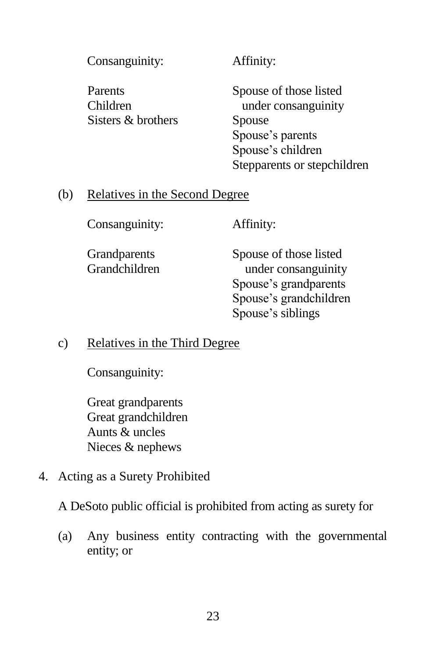Consanguinity: Affinity:

Sisters & brothers Spouse

Parents Spouse of those listed Children under consanguinity Spouse's parents Spouse's children Stepparents or stepchildren

#### (b) Relatives in the Second Degree

Consanguinity: Affinity:

Grandparents Spouse of those listed Grandchildren under consanguinity Spouse's grandparents Spouse's grandchildren Spouse's siblings

c) Relatives in the Third Degree

Consanguinity:

Great grandparents Great grandchildren Aunts & uncles Nieces & nephews

4. Acting as a Surety Prohibited

A DeSoto public official is prohibited from acting as surety for

(a) Any business entity contracting with the governmental entity; or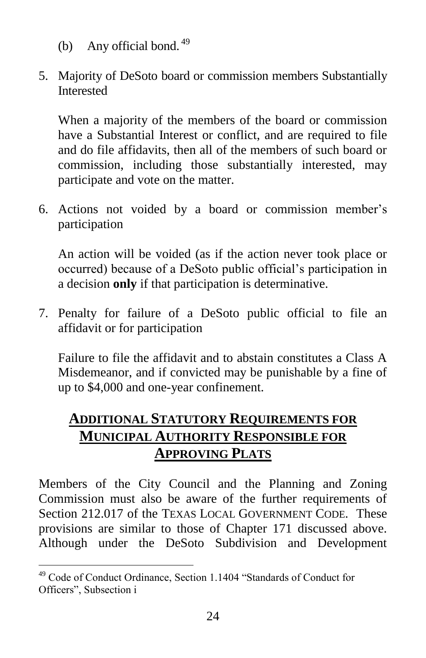- (b) Any official bond.  $49$
- 5. Majority of DeSoto board or commission members Substantially Interested

When a majority of the members of the board or commission have a Substantial Interest or conflict, and are required to file and do file affidavits, then all of the members of such board or commission, including those substantially interested, may participate and vote on the matter.

6. Actions not voided by a board or commission member's participation

An action will be voided (as if the action never took place or occurred) because of a DeSoto public official's participation in a decision **only** if that participation is determinative.

7. Penalty for failure of a DeSoto public official to file an affidavit or for participation

Failure to file the affidavit and to abstain constitutes a Class A Misdemeanor, and if convicted may be punishable by a fine of up to \$4,000 and one-year confinement.

## **ADDITIONAL STATUTORY REQUIREMENTS FOR MUNICIPAL AUTHORITY RESPONSIBLE FOR APPROVING PLATS**

Members of the City Council and the Planning and Zoning Commission must also be aware of the further requirements of Section 212.017 of the TEXAS LOCAL GOVERNMENT CODE. These provisions are similar to those of Chapter 171 discussed above. Although under the DeSoto Subdivision and Development

<sup>&</sup>lt;sup>49</sup> Code of Conduct Ordinance, Section 1.1404 "Standards of Conduct for Officers", Subsection i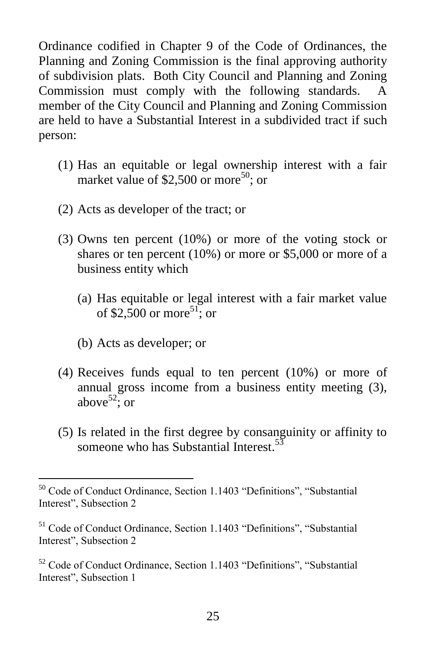Ordinance codified in Chapter 9 of the Code of Ordinances, the Planning and Zoning Commission is the final approving authority of subdivision plats. Both City Council and Planning and Zoning Commission must comply with the following standards. A member of the City Council and Planning and Zoning Commission are held to have a Substantial Interest in a subdivided tract if such person:

- (1) Has an equitable or legal ownership interest with a fair market value of \$2,500 or more<sup>50</sup>; or
- (2) Acts as developer of the tract; or
- (3) Owns ten percent (10%) or more of the voting stock or shares or ten percent (10%) or more or \$5,000 or more of a business entity which
	- (a) Has equitable or legal interest with a fair market value of \$2,500 or more<sup>51</sup>; or
	- (b) Acts as developer; or
- (4) Receives funds equal to ten percent (10%) or more of annual gross income from a business entity meeting (3), above<sup>52</sup>; or
- (5) Is related in the first degree by consanguinity or affinity to someone who has Substantial Interest.<sup>53</sup>

 $\overline{a}$ <sup>50</sup> Code of Conduct Ordinance, Section 1.1403 "Definitions", "Substantial Interest", Subsection 2

<sup>51</sup> Code of Conduct Ordinance, Section 1.1403 "Definitions", "Substantial Interest", Subsection 2

<sup>52</sup> Code of Conduct Ordinance, Section 1.1403 "Definitions", "Substantial Interest", Subsection 1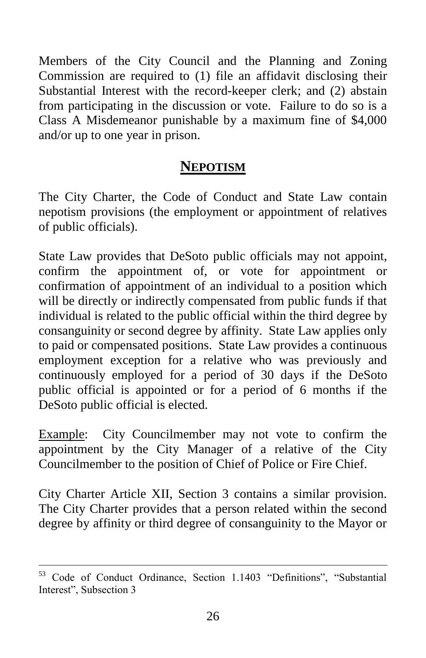Members of the City Council and the Planning and Zoning Commission are required to (1) file an affidavit disclosing their Substantial Interest with the record-keeper clerk; and (2) abstain from participating in the discussion or vote. Failure to do so is a Class A Misdemeanor punishable by a maximum fine of \$4,000 and/or up to one year in prison.

## **NEPOTISM**

The City Charter, the Code of Conduct and State Law contain nepotism provisions (the employment or appointment of relatives of public officials).

State Law provides that DeSoto public officials may not appoint, confirm the appointment of, or vote for appointment or confirmation of appointment of an individual to a position which will be directly or indirectly compensated from public funds if that individual is related to the public official within the third degree by consanguinity or second degree by affinity. State Law applies only to paid or compensated positions. State Law provides a continuous employment exception for a relative who was previously and continuously employed for a period of 30 days if the DeSoto public official is appointed or for a period of 6 months if the DeSoto public official is elected.

Example: City Councilmember may not vote to confirm the appointment by the City Manager of a relative of the City Councilmember to the position of Chief of Police or Fire Chief.

City Charter Article XII, Section 3 contains a similar provision. The City Charter provides that a person related within the second degree by affinity or third degree of consanguinity to the Mayor or

Code of Conduct Ordinance, Section 1.1403 "Definitions", "Substantial Interest", Subsection 3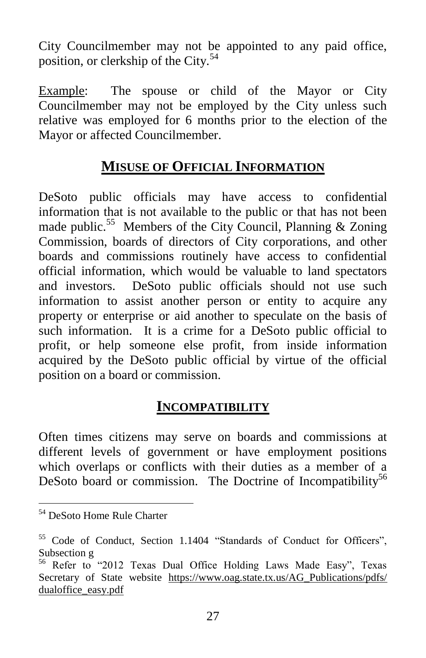City Councilmember may not be appointed to any paid office, position, or clerkship of the City.<sup>54</sup>

Example: The spouse or child of the Mayor or City Councilmember may not be employed by the City unless such relative was employed for 6 months prior to the election of the Mayor or affected Councilmember.

## **MISUSE OF OFFICIAL INFORMATION**

DeSoto public officials may have access to confidential information that is not available to the public or that has not been made public.<sup>55</sup> Members of the City Council, Planning & Zoning Commission, boards of directors of City corporations, and other boards and commissions routinely have access to confidential official information, which would be valuable to land spectators and investors. DeSoto public officials should not use such information to assist another person or entity to acquire any property or enterprise or aid another to speculate on the basis of such information. It is a crime for a DeSoto public official to profit, or help someone else profit, from inside information acquired by the DeSoto public official by virtue of the official position on a board or commission.

## **INCOMPATIBILITY**

Often times citizens may serve on boards and commissions at different levels of government or have employment positions which overlaps or conflicts with their duties as a member of a DeSoto board or commission. The Doctrine of Incompatibility<sup>56</sup>

<sup>54</sup> DeSoto Home Rule Charter

<sup>55</sup> Code of Conduct, Section 1.1404 "Standards of Conduct for Officers", Subsection g

<sup>56</sup> Refer to "2012 Texas Dual Office Holding Laws Made Easy", Texas Secretary of State website [https://www.oag.state.tx.us/AG\\_Publications/pdfs/](https://www.oag.state.tx.us/AG_Publications/pdfs/%20dualoffice_easy.pdf) [dualoffice\\_easy.pdf](https://www.oag.state.tx.us/AG_Publications/pdfs/%20dualoffice_easy.pdf)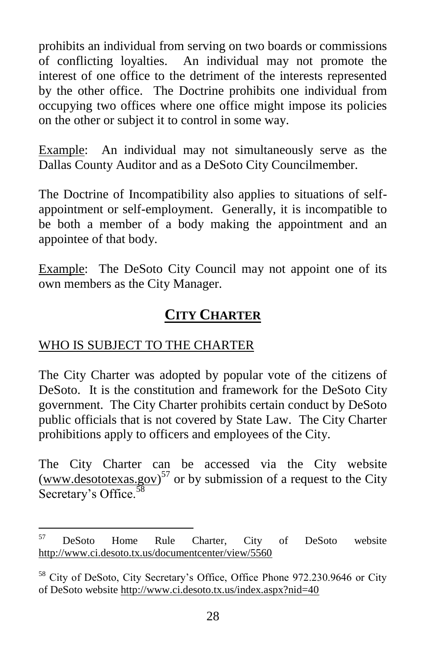prohibits an individual from serving on two boards or commissions of conflicting loyalties. An individual may not promote the interest of one office to the detriment of the interests represented by the other office. The Doctrine prohibits one individual from occupying two offices where one office might impose its policies on the other or subject it to control in some way.

Example: An individual may not simultaneously serve as the Dallas County Auditor and as a DeSoto City Councilmember.

The Doctrine of Incompatibility also applies to situations of selfappointment or self-employment. Generally, it is incompatible to be both a member of a body making the appointment and an appointee of that body.

Example: The DeSoto City Council may not appoint one of its own members as the City Manager.

## **CITY CHARTER**

## WHO IS SUBJECT TO THE CHARTER

The City Charter was adopted by popular vote of the citizens of DeSoto. It is the constitution and framework for the DeSoto City government. The City Charter prohibits certain conduct by DeSoto public officials that is not covered by State Law. The City Charter prohibitions apply to officers and employees of the City.

The City Charter can be accessed via the City website  $(www.desototexas.gov)^{57}$  $(www.desototexas.gov)^{57}$  or by submission of a request to the City Secretary's Office.<sup>58</sup>

 $\overline{a}$ <sup>57</sup> DeSoto Home Rule Charter, City of DeSoto website <http://www.ci.desoto.tx.us/documentcenter/view/5560>

<sup>&</sup>lt;sup>58</sup> City of DeSoto, City Secretary's Office, Office Phone 972.230.9646 or City of DeSoto website<http://www.ci.desoto.tx.us/index.aspx?nid=40>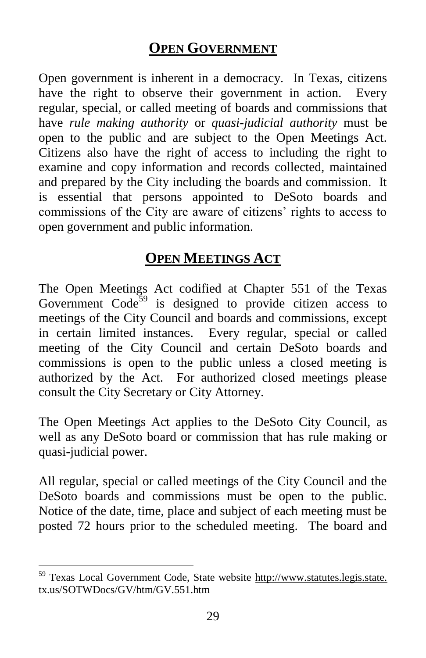## **OPEN GOVERNMENT**

Open government is inherent in a democracy. In Texas, citizens have the right to observe their government in action. Every regular, special, or called meeting of boards and commissions that have *rule making authority* or *quasi-judicial authority* must be open to the public and are subject to the Open Meetings Act. Citizens also have the right of access to including the right to examine and copy information and records collected, maintained and prepared by the City including the boards and commission. It is essential that persons appointed to DeSoto boards and commissions of the City are aware of citizens' rights to access to open government and public information.

## **OPEN MEETINGS ACT**

The Open Meetings Act codified at Chapter 551 of the Texas Government  $Code<sup>59</sup>$  is designed to provide citizen access to meetings of the City Council and boards and commissions, except in certain limited instances. Every regular, special or called meeting of the City Council and certain DeSoto boards and commissions is open to the public unless a closed meeting is authorized by the Act. For authorized closed meetings please consult the City Secretary or City Attorney.

The Open Meetings Act applies to the DeSoto City Council, as well as any DeSoto board or commission that has rule making or quasi-judicial power.

All regular, special or called meetings of the City Council and the DeSoto boards and commissions must be open to the public. Notice of the date, time, place and subject of each meeting must be posted 72 hours prior to the scheduled meeting. The board and

<sup>&</sup>lt;sup>59</sup> Texas Local Government Code, State website http://www.statutes.legis.state. tx.us/SOTWDocs/GV/htm/GV.551.htm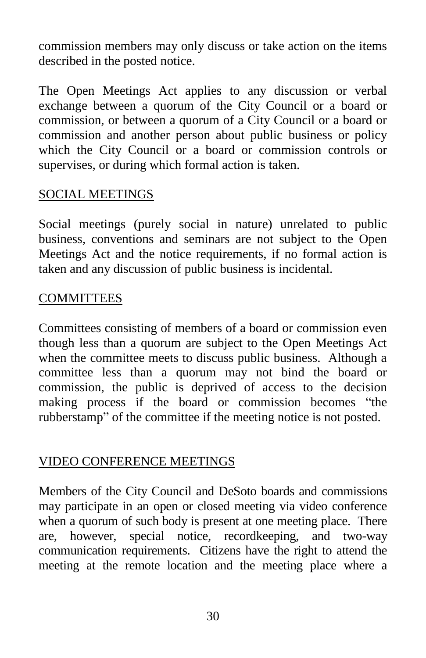commission members may only discuss or take action on the items described in the posted notice.

The Open Meetings Act applies to any discussion or verbal exchange between a quorum of the City Council or a board or commission, or between a quorum of a City Council or a board or commission and another person about public business or policy which the City Council or a board or commission controls or supervises, or during which formal action is taken.

#### SOCIAL MEETINGS

Social meetings (purely social in nature) unrelated to public business, conventions and seminars are not subject to the Open Meetings Act and the notice requirements, if no formal action is taken and any discussion of public business is incidental.

#### **COMMITTEES**

Committees consisting of members of a board or commission even though less than a quorum are subject to the Open Meetings Act when the committee meets to discuss public business. Although a committee less than a quorum may not bind the board or commission, the public is deprived of access to the decision making process if the board or commission becomes "the rubberstamp" of the committee if the meeting notice is not posted.

#### VIDEO CONFERENCE MEETINGS

Members of the City Council and DeSoto boards and commissions may participate in an open or closed meeting via video conference when a quorum of such body is present at one meeting place. There are, however, special notice, recordkeeping, and two-way communication requirements. Citizens have the right to attend the meeting at the remote location and the meeting place where a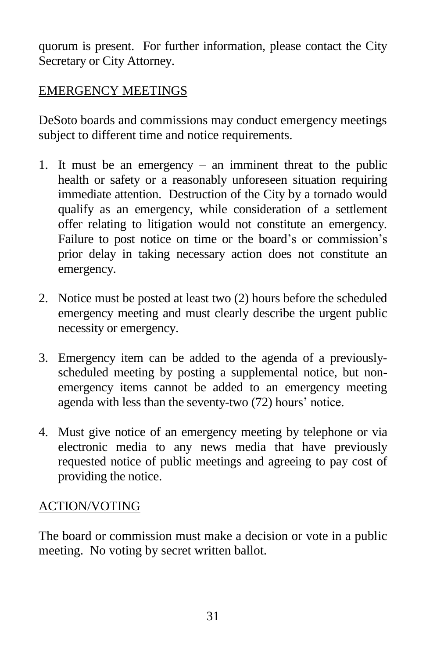quorum is present. For further information, please contact the City Secretary or City Attorney.

## EMERGENCY MEETINGS

DeSoto boards and commissions may conduct emergency meetings subject to different time and notice requirements.

- 1. It must be an emergency an imminent threat to the public health or safety or a reasonably unforeseen situation requiring immediate attention. Destruction of the City by a tornado would qualify as an emergency, while consideration of a settlement offer relating to litigation would not constitute an emergency. Failure to post notice on time or the board's or commission's prior delay in taking necessary action does not constitute an emergency.
- 2. Notice must be posted at least two (2) hours before the scheduled emergency meeting and must clearly describe the urgent public necessity or emergency.
- 3. Emergency item can be added to the agenda of a previouslyscheduled meeting by posting a supplemental notice, but nonemergency items cannot be added to an emergency meeting agenda with less than the seventy-two (72) hours' notice.
- 4. Must give notice of an emergency meeting by telephone or via electronic media to any news media that have previously requested notice of public meetings and agreeing to pay cost of providing the notice.

## ACTION/VOTING

The board or commission must make a decision or vote in a public meeting. No voting by secret written ballot.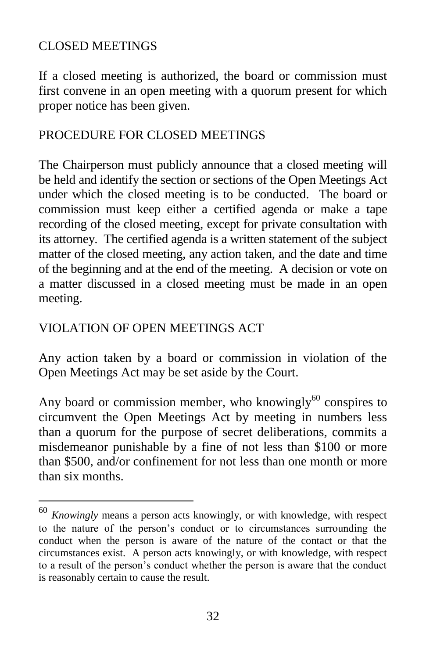#### CLOSED MEETINGS

If a closed meeting is authorized, the board or commission must first convene in an open meeting with a quorum present for which proper notice has been given.

#### PROCEDURE FOR CLOSED MEETINGS

The Chairperson must publicly announce that a closed meeting will be held and identify the section or sections of the Open Meetings Act under which the closed meeting is to be conducted. The board or commission must keep either a certified agenda or make a tape recording of the closed meeting, except for private consultation with its attorney. The certified agenda is a written statement of the subject matter of the closed meeting, any action taken, and the date and time of the beginning and at the end of the meeting. A decision or vote on a matter discussed in a closed meeting must be made in an open meeting.

## VIOLATION OF OPEN MEETINGS ACT

 $\overline{a}$ 

Any action taken by a board or commission in violation of the Open Meetings Act may be set aside by the Court.

Any board or commission member, who knowingly $^{60}$  conspires to circumvent the Open Meetings Act by meeting in numbers less than a quorum for the purpose of secret deliberations, commits a misdemeanor punishable by a fine of not less than \$100 or more than \$500, and/or confinement for not less than one month or more than six months.

<sup>60</sup> *Knowingly* means a person acts knowingly, or with knowledge, with respect to the nature of the person's conduct or to circumstances surrounding the conduct when the person is aware of the nature of the contact or that the circumstances exist. A person acts knowingly, or with knowledge, with respect to a result of the person's conduct whether the person is aware that the conduct is reasonably certain to cause the result.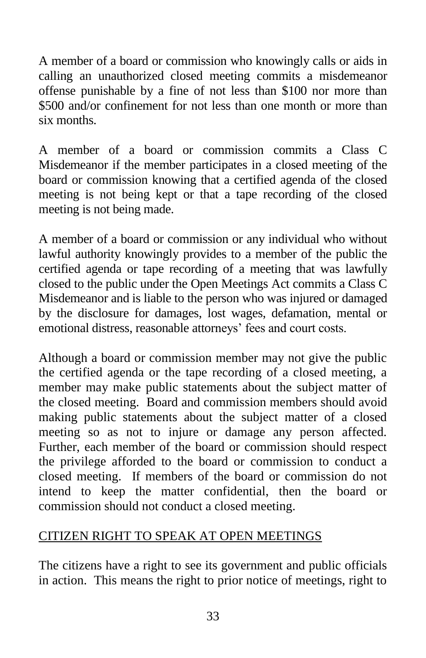A member of a board or commission who knowingly calls or aids in calling an unauthorized closed meeting commits a misdemeanor offense punishable by a fine of not less than \$100 nor more than \$500 and/or confinement for not less than one month or more than six months.

A member of a board or commission commits a Class C Misdemeanor if the member participates in a closed meeting of the board or commission knowing that a certified agenda of the closed meeting is not being kept or that a tape recording of the closed meeting is not being made.

A member of a board or commission or any individual who without lawful authority knowingly provides to a member of the public the certified agenda or tape recording of a meeting that was lawfully closed to the public under the Open Meetings Act commits a Class C Misdemeanor and is liable to the person who was injured or damaged by the disclosure for damages, lost wages, defamation, mental or emotional distress, reasonable attorneys' fees and court costs.

Although a board or commission member may not give the public the certified agenda or the tape recording of a closed meeting, a member may make public statements about the subject matter of the closed meeting. Board and commission members should avoid making public statements about the subject matter of a closed meeting so as not to injure or damage any person affected. Further, each member of the board or commission should respect the privilege afforded to the board or commission to conduct a closed meeting. If members of the board or commission do not intend to keep the matter confidential, then the board or commission should not conduct a closed meeting.

#### CITIZEN RIGHT TO SPEAK AT OPEN MEETINGS

The citizens have a right to see its government and public officials in action. This means the right to prior notice of meetings, right to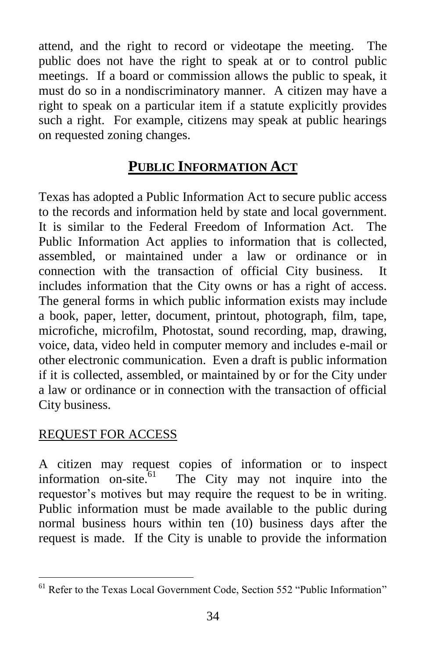attend, and the right to record or videotape the meeting. The public does not have the right to speak at or to control public meetings. If a board or commission allows the public to speak, it must do so in a nondiscriminatory manner. A citizen may have a right to speak on a particular item if a statute explicitly provides such a right. For example, citizens may speak at public hearings on requested zoning changes.

## **PUBLIC INFORMATION ACT**

Texas has adopted a Public Information Act to secure public access to the records and information held by state and local government. It is similar to the Federal Freedom of Information Act. The Public Information Act applies to information that is collected, assembled, or maintained under a law or ordinance or in connection with the transaction of official City business. It includes information that the City owns or has a right of access. The general forms in which public information exists may include a book, paper, letter, document, printout, photograph, film, tape, microfiche, microfilm, Photostat, sound recording, map, drawing, voice, data, video held in computer memory and includes e-mail or other electronic communication. Even a draft is public information if it is collected, assembled, or maintained by or for the City under a law or ordinance or in connection with the transaction of official City business.

## REQUEST FOR ACCESS

A citizen may request copies of information or to inspect information on-site. $61$  The City may not inquire into the requestor's motives but may require the request to be in writing. Public information must be made available to the public during normal business hours within ten (10) business days after the request is made. If the City is unable to provide the information

 $\overline{a}$ <sup>61</sup> Refer to the Texas Local Government Code, Section 552 "Public Information"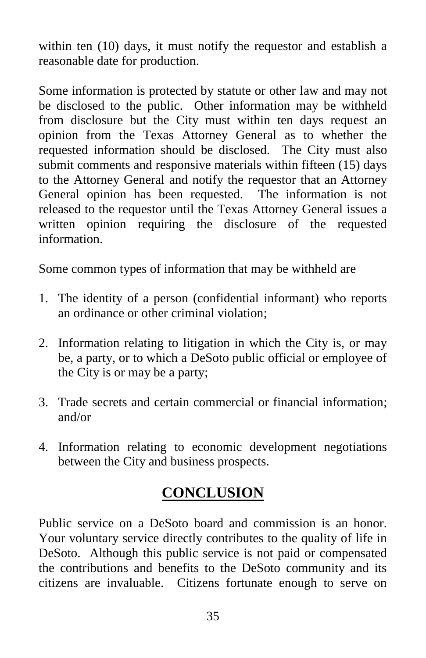within ten (10) days, it must notify the requestor and establish a reasonable date for production.

Some information is protected by statute or other law and may not be disclosed to the public. Other information may be withheld from disclosure but the City must within ten days request an opinion from the Texas Attorney General as to whether the requested information should be disclosed. The City must also submit comments and responsive materials within fifteen (15) days to the Attorney General and notify the requestor that an Attorney General opinion has been requested. The information is not released to the requestor until the Texas Attorney General issues a written opinion requiring the disclosure of the requested information.

Some common types of information that may be withheld are

- 1. The identity of a person (confidential informant) who reports an ordinance or other criminal violation;
- 2. Information relating to litigation in which the City is, or may be, a party, or to which a DeSoto public official or employee of the City is or may be a party;
- 3. Trade secrets and certain commercial or financial information; and/or
- 4. Information relating to economic development negotiations between the City and business prospects.

## **CONCLUSION**

Public service on a DeSoto board and commission is an honor. Your voluntary service directly contributes to the quality of life in DeSoto. Although this public service is not paid or compensated the contributions and benefits to the DeSoto community and its citizens are invaluable. Citizens fortunate enough to serve on